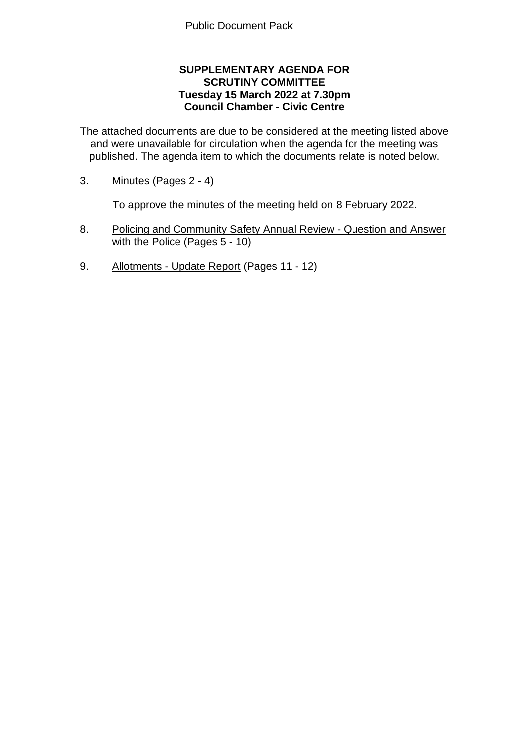## **SUPPLEMENTARY AGENDA FOR SCRUTINY COMMITTEE Tuesday 15 March 2022 at 7.30pm Council Chamber - Civic Centre**

The attached documents are due to be considered at the meeting listed above and were unavailable for circulation when the agenda for the meeting was published. The agenda item to which the documents relate is noted below.

3. Minutes (Pages 2 - 4)

To approve the minutes of the meeting held on 8 February 2022.

- 8. Policing and Community Safety Annual Review Question and Answer with the Police (Pages 5 - 10)
- 9. Allotments Update Report (Pages 11 12)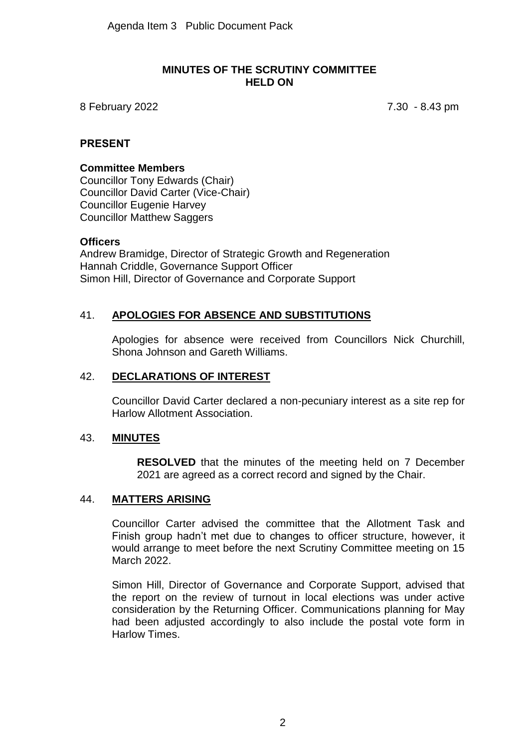### **MINUTES OF THE SCRUTINY COMMITTEE HELD ON**

8 February 2022 7.30 - 8.43 pm

### **PRESENT**

# **Committee Members**

Councillor Tony Edwards (Chair) Councillor David Carter (Vice-Chair) Councillor Eugenie Harvey Councillor Matthew Saggers

### **Officers**

Andrew Bramidge, Director of Strategic Growth and Regeneration Hannah Criddle, Governance Support Officer Simon Hill, Director of Governance and Corporate Support

# 41. **APOLOGIES FOR ABSENCE AND SUBSTITUTIONS**

Apologies for absence were received from Councillors Nick Churchill, Shona Johnson and Gareth Williams.

### 42. **DECLARATIONS OF INTEREST**

Councillor David Carter declared a non-pecuniary interest as a site rep for Harlow Allotment Association.

### 43. **MINUTES**

**RESOLVED** that the minutes of the meeting held on 7 December 2021 are agreed as a correct record and signed by the Chair.

### 44. **MATTERS ARISING**

Councillor Carter advised the committee that the Allotment Task and Finish group hadn't met due to changes to officer structure, however, it would arrange to meet before the next Scrutiny Committee meeting on 15 March 2022.

Simon Hill, Director of Governance and Corporate Support, advised that the report on the review of turnout in local elections was under active consideration by the Returning Officer. Communications planning for May had been adjusted accordingly to also include the postal vote form in Harlow Times.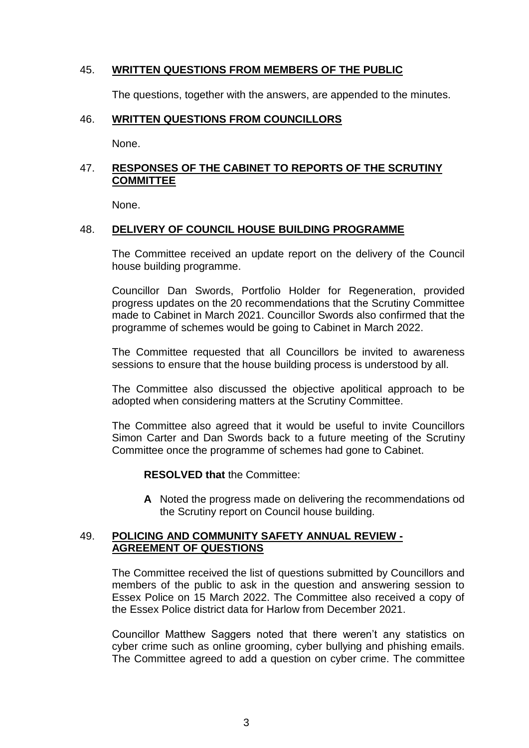## 45. **WRITTEN QUESTIONS FROM MEMBERS OF THE PUBLIC**

The questions, together with the answers, are appended to the minutes.

#### 46. **WRITTEN QUESTIONS FROM COUNCILLORS**

None.

# 47. **RESPONSES OF THE CABINET TO REPORTS OF THE SCRUTINY COMMITTEE**

None.

### 48. **DELIVERY OF COUNCIL HOUSE BUILDING PROGRAMME**

The Committee received an update report on the delivery of the Council house building programme.

Councillor Dan Swords, Portfolio Holder for Regeneration, provided progress updates on the 20 recommendations that the Scrutiny Committee made to Cabinet in March 2021. Councillor Swords also confirmed that the programme of schemes would be going to Cabinet in March 2022.

The Committee requested that all Councillors be invited to awareness sessions to ensure that the house building process is understood by all.

The Committee also discussed the objective apolitical approach to be adopted when considering matters at the Scrutiny Committee.

The Committee also agreed that it would be useful to invite Councillors Simon Carter and Dan Swords back to a future meeting of the Scrutiny Committee once the programme of schemes had gone to Cabinet.

**RESOLVED that** the Committee:

**A** Noted the progress made on delivering the recommendations od the Scrutiny report on Council house building.

### 49. **POLICING AND COMMUNITY SAFETY ANNUAL REVIEW - AGREEMENT OF QUESTIONS**

The Committee received the list of questions submitted by Councillors and members of the public to ask in the question and answering session to Essex Police on 15 March 2022. The Committee also received a copy of the Essex Police district data for Harlow from December 2021.

Councillor Matthew Saggers noted that there weren't any statistics on cyber crime such as online grooming, cyber bullying and phishing emails. The Committee agreed to add a question on cyber crime. The committee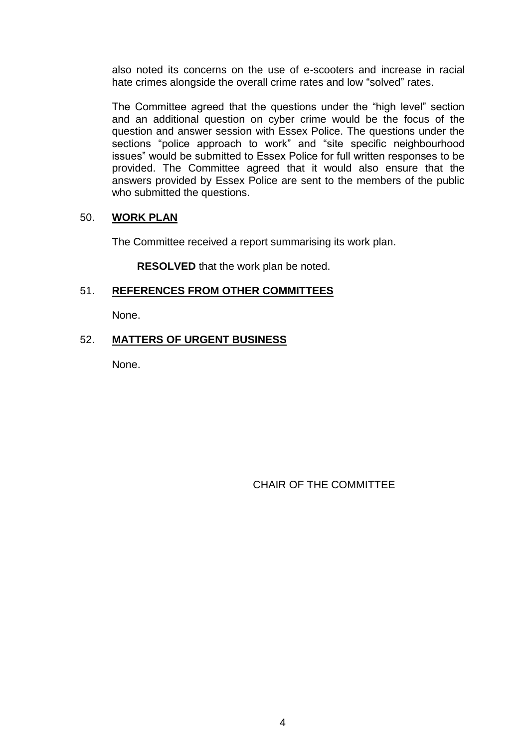also noted its concerns on the use of e-scooters and increase in racial hate crimes alongside the overall crime rates and low "solved" rates.

The Committee agreed that the questions under the "high level" section and an additional question on cyber crime would be the focus of the question and answer session with Essex Police. The questions under the sections "police approach to work" and "site specific neighbourhood issues" would be submitted to Essex Police for full written responses to be provided. The Committee agreed that it would also ensure that the answers provided by Essex Police are sent to the members of the public who submitted the questions.

## 50. **WORK PLAN**

The Committee received a report summarising its work plan.

**RESOLVED** that the work plan be noted.

## 51. **REFERENCES FROM OTHER COMMITTEES**

None.

# 52. **MATTERS OF URGENT BUSINESS**

None.

CHAIR OF THE COMMITTEE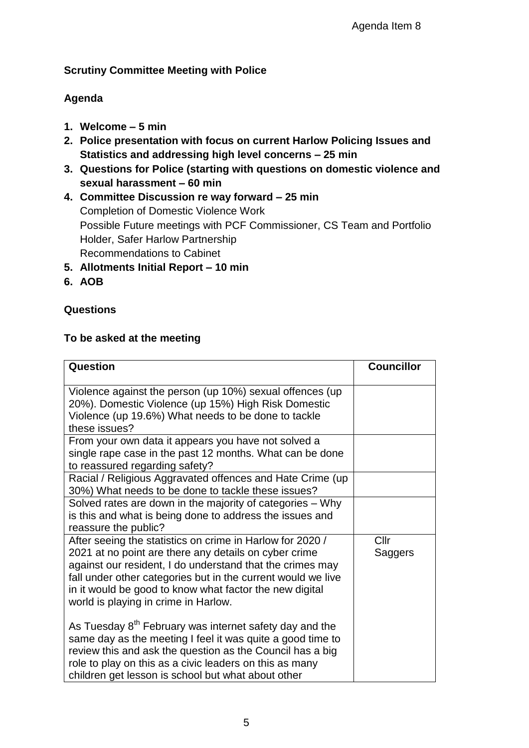# **Scrutiny Committee Meeting with Police**

# **Agenda**

- **1. Welcome – 5 min**
- **2. Police presentation with focus on current Harlow Policing Issues and Statistics and addressing high level concerns – 25 min**
- **3. Questions for Police (starting with questions on domestic violence and sexual harassment – 60 min**
- **4. Committee Discussion re way forward – 25 min** Completion of Domestic Violence Work Possible Future meetings with PCF Commissioner, CS Team and Portfolio Holder, Safer Harlow Partnership Recommendations to Cabinet
- **5. Allotments Initial Report – 10 min**
- **6. AOB**

# **Questions**

# **To be asked at the meeting**

| Question                                                                                                                                                                                                                                                                                                                                           | <b>Councillor</b> |
|----------------------------------------------------------------------------------------------------------------------------------------------------------------------------------------------------------------------------------------------------------------------------------------------------------------------------------------------------|-------------------|
| Violence against the person (up 10%) sexual offences (up<br>20%). Domestic Violence (up 15%) High Risk Domestic<br>Violence (up 19.6%) What needs to be done to tackle<br>these issues?                                                                                                                                                            |                   |
| From your own data it appears you have not solved a<br>single rape case in the past 12 months. What can be done<br>to reassured regarding safety?                                                                                                                                                                                                  |                   |
| Racial / Religious Aggravated offences and Hate Crime (up<br>30%) What needs to be done to tackle these issues?                                                                                                                                                                                                                                    |                   |
| Solved rates are down in the majority of categories - Why<br>is this and what is being done to address the issues and<br>reassure the public?                                                                                                                                                                                                      |                   |
| After seeing the statistics on crime in Harlow for 2020 /<br>2021 at no point are there any details on cyber crime<br>against our resident, I do understand that the crimes may<br>fall under other categories but in the current would we live<br>in it would be good to know what factor the new digital<br>world is playing in crime in Harlow. | Cllr<br>Saggers   |
| As Tuesday 8 <sup>th</sup> February was internet safety day and the<br>same day as the meeting I feel it was quite a good time to<br>review this and ask the question as the Council has a big<br>role to play on this as a civic leaders on this as many<br>children get lesson is school but what about other                                    |                   |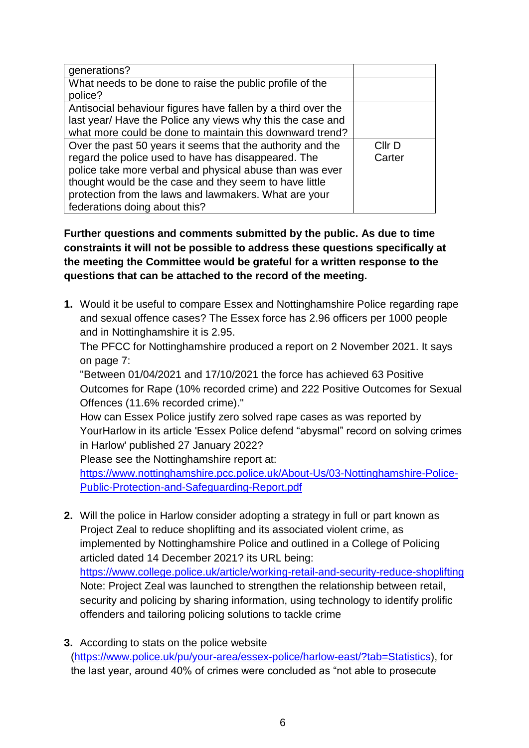| generations?                                                 |        |
|--------------------------------------------------------------|--------|
| What needs to be done to raise the public profile of the     |        |
| police?                                                      |        |
| Antisocial behaviour figures have fallen by a third over the |        |
| last year/ Have the Police any views why this the case and   |        |
| what more could be done to maintain this downward trend?     |        |
| Over the past 50 years it seems that the authority and the   | Cllr D |
| regard the police used to have has disappeared. The          | Carter |
| police take more verbal and physical abuse than was ever     |        |
| thought would be the case and they seem to have little       |        |
| protection from the laws and lawmakers. What are your        |        |
| federations doing about this?                                |        |

**Further questions and comments submitted by the public. As due to time constraints it will not be possible to address these questions specifically at the meeting the Committee would be grateful for a written response to the questions that can be attached to the record of the meeting.**

**1.** Would it be useful to compare Essex and Nottinghamshire Police regarding rape and sexual offence cases? The Essex force has 2.96 officers per 1000 people and in Nottinghamshire it is 2.95.

The PFCC for Nottinghamshire produced a report on 2 November 2021. It says on page 7:

"Between 01/04/2021 and 17/10/2021 the force has achieved 63 Positive Outcomes for Rape (10% recorded crime) and 222 Positive Outcomes for Sexual Offences (11.6% recorded crime)."

How can Essex Police justify zero solved rape cases as was reported by YourHarlow in its article 'Essex Police defend "abysmal" record on solving crimes in Harlow' published 27 January 2022?

Please see the Nottinghamshire report at:

[https://www.nottinghamshire.pcc.police.uk/About-Us/03-Nottinghamshire-Police-](https://www.nottinghamshire.pcc.police.uk/About-Us/03-Nottinghamshire-Police-Public-Protection-and-Safeguarding-Report.pdf)[Public-Protection-and-Safeguarding-Report.pdf](https://www.nottinghamshire.pcc.police.uk/About-Us/03-Nottinghamshire-Police-Public-Protection-and-Safeguarding-Report.pdf)

- **2.** Will the police in Harlow consider adopting a strategy in full or part known as Project Zeal to reduce shoplifting and its associated violent crime, as implemented by Nottinghamshire Police and outlined in a College of Policing articled dated 14 December 2021? its URL being: <https://www.college.police.uk/article/working-retail-and-security-reduce-shoplifting> Note: Project Zeal was launched to strengthen the relationship between retail, security and policing by sharing information, using technology to identify prolific offenders and tailoring policing solutions to tackle crime
- **3.** According to stats on the police website [\(https://www.police.uk/pu/your-area/essex-police/harlow-east/?tab=Statistics\)](https://www.police.uk/pu/your-area/essex-police/harlow-east/?tab=Statistics), for the last year, around 40% of crimes were concluded as "not able to prosecute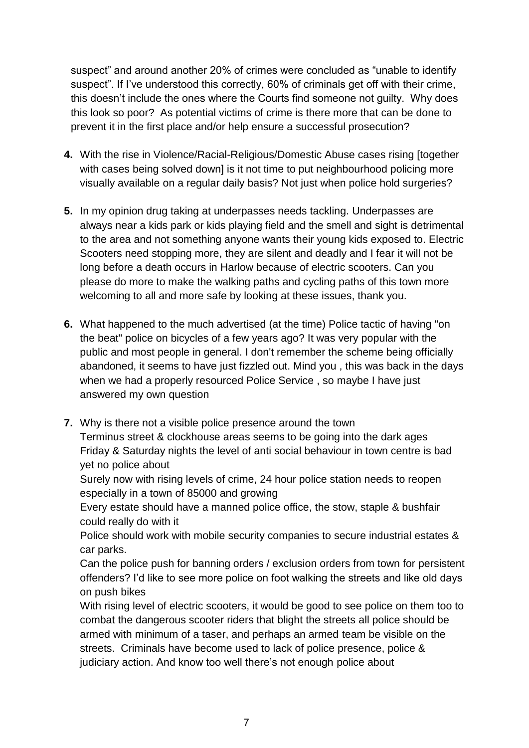suspect" and around another 20% of crimes were concluded as "unable to identify suspect". If I've understood this correctly, 60% of criminals get off with their crime, this doesn't include the ones where the Courts find someone not guilty. Why does this look so poor? As potential victims of crime is there more that can be done to prevent it in the first place and/or help ensure a successful prosecution?

- **4.** With the rise in Violence/Racial-Religious/Domestic Abuse cases rising [together with cases being solved down] is it not time to put neighbourhood policing more visually available on a regular daily basis? Not just when police hold surgeries?
- **5.** In my opinion drug taking at underpasses needs tackling. Underpasses are always near a kids park or kids playing field and the smell and sight is detrimental to the area and not something anyone wants their young kids exposed to. Electric Scooters need stopping more, they are silent and deadly and I fear it will not be long before a death occurs in Harlow because of electric scooters. Can you please do more to make the walking paths and cycling paths of this town more welcoming to all and more safe by looking at these issues, thank you.
- **6.** What happened to the much advertised (at the time) Police tactic of having "on the beat" police on bicycles of a few years ago? It was very popular with the public and most people in general. I don't remember the scheme being officially abandoned, it seems to have just fizzled out. Mind you , this was back in the days when we had a properly resourced Police Service , so maybe I have just answered my own question
- **7.** Why is there not a visible police presence around the town Terminus street & clockhouse areas seems to be going into the dark ages Friday & Saturday nights the level of anti social behaviour in town centre is bad yet no police about

Surely now with rising levels of crime, 24 hour police station needs to reopen especially in a town of 85000 and growing

Every estate should have a manned police office, the stow, staple & bushfair could really do with it

Police should work with mobile security companies to secure industrial estates & car parks.

Can the police push for banning orders / exclusion orders from town for persistent offenders? I'd like to see more police on foot walking the streets and like old days on push bikes

With rising level of electric scooters, it would be good to see police on them too to combat the dangerous scooter riders that blight the streets all police should be armed with minimum of a taser, and perhaps an armed team be visible on the streets. Criminals have become used to lack of police presence, police & judiciary action. And know too well there's not enough police about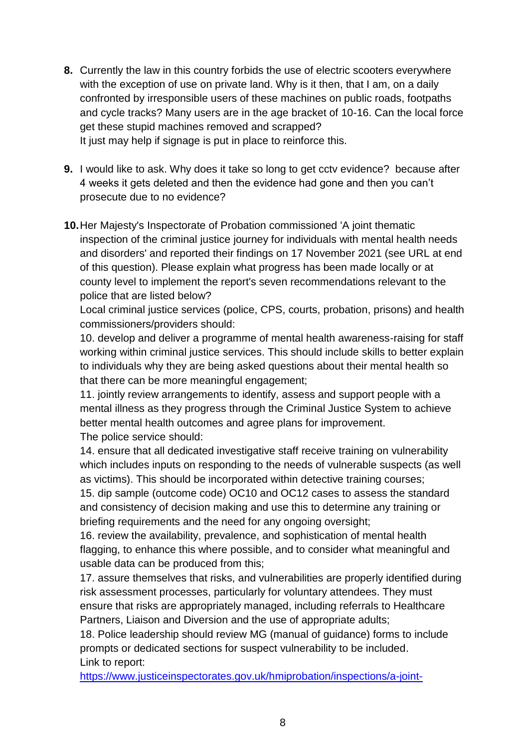- **8.** Currently the law in this country forbids the use of electric scooters everywhere with the exception of use on private land. Why is it then, that I am, on a daily confronted by irresponsible users of these machines on public roads, footpaths and cycle tracks? Many users are in the age bracket of 10-16. Can the local force get these stupid machines removed and scrapped? It just may help if signage is put in place to reinforce this.
- **9.** I would like to ask. Why does it take so long to get cctv evidence? because after 4 weeks it gets deleted and then the evidence had gone and then you can't prosecute due to no evidence?
- **10.**Her Majesty's Inspectorate of Probation commissioned 'A joint thematic inspection of the criminal justice journey for individuals with mental health needs and disorders' and reported their findings on 17 November 2021 (see URL at end of this question). Please explain what progress has been made locally or at county level to implement the report's seven recommendations relevant to the police that are listed below?

Local criminal justice services (police, CPS, courts, probation, prisons) and health commissioners/providers should:

10. develop and deliver a programme of mental health awareness-raising for staff working within criminal justice services. This should include skills to better explain to individuals why they are being asked questions about their mental health so that there can be more meaningful engagement;

11. jointly review arrangements to identify, assess and support people with a mental illness as they progress through the Criminal Justice System to achieve better mental health outcomes and agree plans for improvement. The police service should:

14. ensure that all dedicated investigative staff receive training on vulnerability which includes inputs on responding to the needs of vulnerable suspects (as well as victims). This should be incorporated within detective training courses; 15. dip sample (outcome code) OC10 and OC12 cases to assess the standard and consistency of decision making and use this to determine any training or briefing requirements and the need for any ongoing oversight;

16. review the availability, prevalence, and sophistication of mental health flagging, to enhance this where possible, and to consider what meaningful and usable data can be produced from this;

17. assure themselves that risks, and vulnerabilities are properly identified during risk assessment processes, particularly for voluntary attendees. They must ensure that risks are appropriately managed, including referrals to Healthcare Partners, Liaison and Diversion and the use of appropriate adults;

18. Police leadership should review MG (manual of guidance) forms to include prompts or dedicated sections for suspect vulnerability to be included. Link to report:

[https://www.justiceinspectorates.gov.uk/hmiprobation/inspections/a-joint-](https://www.justiceinspectorates.gov.uk/hmiprobation/inspections/a-joint-thematic-inspection-of-the-criminal-justice-journey-for-individuals-with-mental-health-needs-and-disorders/)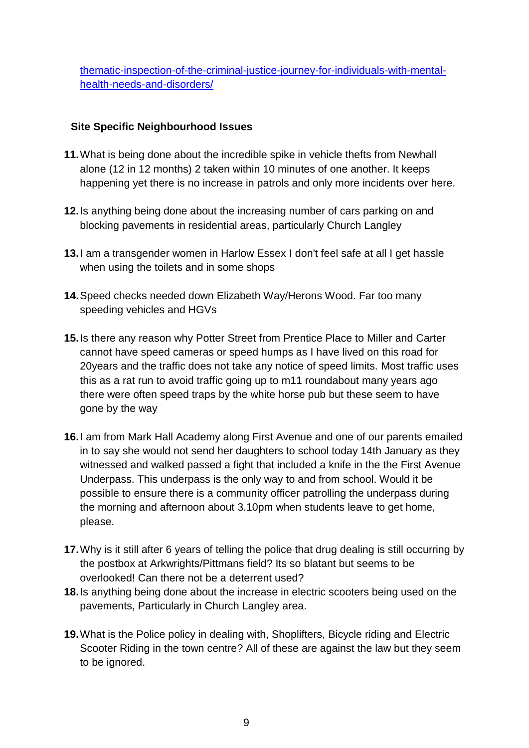[thematic-inspection-of-the-criminal-justice-journey-for-individuals-with-mental](https://www.justiceinspectorates.gov.uk/hmiprobation/inspections/a-joint-thematic-inspection-of-the-criminal-justice-journey-for-individuals-with-mental-health-needs-and-disorders/)[health-needs-and-disorders/](https://www.justiceinspectorates.gov.uk/hmiprobation/inspections/a-joint-thematic-inspection-of-the-criminal-justice-journey-for-individuals-with-mental-health-needs-and-disorders/)

# **Site Specific Neighbourhood Issues**

- **11.**What is being done about the incredible spike in vehicle thefts from Newhall alone (12 in 12 months) 2 taken within 10 minutes of one another. It keeps happening yet there is no increase in patrols and only more incidents over here.
- **12.**Is anything being done about the increasing number of cars parking on and blocking pavements in residential areas, particularly Church Langley
- **13.**I am a transgender women in Harlow Essex I don't feel safe at all I get hassle when using the toilets and in some shops
- **14.**Speed checks needed down Elizabeth Way/Herons Wood. Far too many speeding vehicles and HGVs
- **15.**Is there any reason why Potter Street from Prentice Place to Miller and Carter cannot have speed cameras or speed humps as I have lived on this road for 20years and the traffic does not take any notice of speed limits. Most traffic uses this as a rat run to avoid traffic going up to m11 roundabout many years ago there were often speed traps by the white horse pub but these seem to have gone by the way
- **16.**I am from Mark Hall Academy along First Avenue and one of our parents emailed in to say she would not send her daughters to school today 14th January as they witnessed and walked passed a fight that included a knife in the the First Avenue Underpass. This underpass is the only way to and from school. Would it be possible to ensure there is a community officer patrolling the underpass during the morning and afternoon about 3.10pm when students leave to get home, please.
- **17.**Why is it still after 6 years of telling the police that drug dealing is still occurring by the postbox at Arkwrights/Pittmans field? Its so blatant but seems to be overlooked! Can there not be a deterrent used?
- **18.**Is anything being done about the increase in electric scooters being used on the pavements, Particularly in Church Langley area.
- **19.**What is the Police policy in dealing with, Shoplifters, Bicycle riding and Electric Scooter Riding in the town centre? All of these are against the law but they seem to be ignored.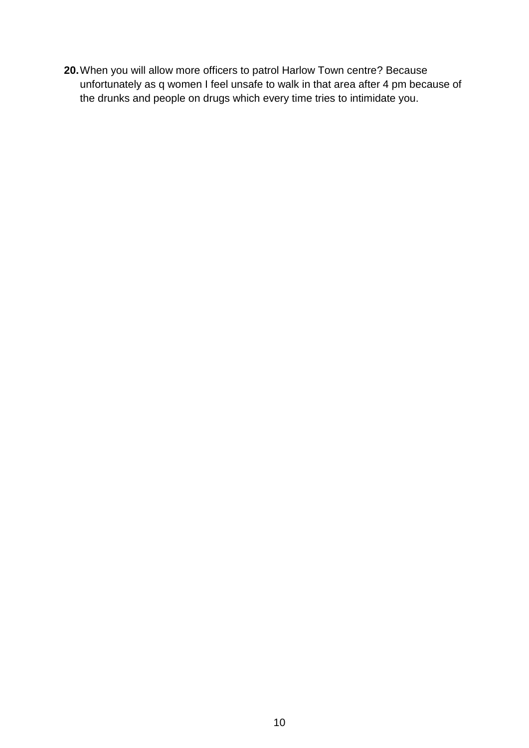**20.**When you will allow more officers to patrol Harlow Town centre? Because unfortunately as q women I feel unsafe to walk in that area after 4 pm because of the drunks and people on drugs which every time tries to intimidate you.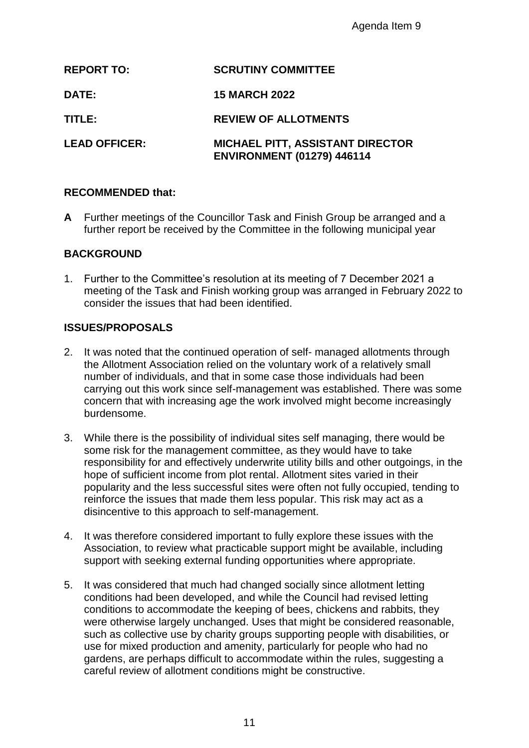|        |                                                   | Agenda Item 9                                                                                                                                                                                                                                                                                                                                                                                                                                                                                                                                                                                              |
|--------|---------------------------------------------------|------------------------------------------------------------------------------------------------------------------------------------------------------------------------------------------------------------------------------------------------------------------------------------------------------------------------------------------------------------------------------------------------------------------------------------------------------------------------------------------------------------------------------------------------------------------------------------------------------------|
|        | <b>REPORT TO:</b>                                 | <b>SCRUTINY COMMITTEE</b>                                                                                                                                                                                                                                                                                                                                                                                                                                                                                                                                                                                  |
| DATE:  |                                                   | <b>15 MARCH 2022</b>                                                                                                                                                                                                                                                                                                                                                                                                                                                                                                                                                                                       |
| TITLE: |                                                   | <b>REVIEW OF ALLOTMENTS</b>                                                                                                                                                                                                                                                                                                                                                                                                                                                                                                                                                                                |
|        | <b>LEAD OFFICER:</b>                              | <b>MICHAEL PITT, ASSISTANT DIRECTOR</b><br><b>ENVIRONMENT (01279) 446114</b>                                                                                                                                                                                                                                                                                                                                                                                                                                                                                                                               |
|        | <b>RECOMMENDED that:</b>                          |                                                                                                                                                                                                                                                                                                                                                                                                                                                                                                                                                                                                            |
| A      |                                                   | Further meetings of the Councillor Task and Finish Group be arranged a<br>further report be received by the Committee in the following municipal y                                                                                                                                                                                                                                                                                                                                                                                                                                                         |
|        | <b>BACKGROUND</b>                                 |                                                                                                                                                                                                                                                                                                                                                                                                                                                                                                                                                                                                            |
|        | consider the issues that had been identified.     | 1. Further to the Committee's resolution at its meeting of 7 December 202<br>meeting of the Task and Finish working group was arranged in February                                                                                                                                                                                                                                                                                                                                                                                                                                                         |
|        | <b>ISSUES/PROPOSALS</b>                           |                                                                                                                                                                                                                                                                                                                                                                                                                                                                                                                                                                                                            |
| 2.     | burdensome.                                       | It was noted that the continued operation of self- managed allotments the<br>the Allotment Association relied on the voluntary work of a relatively sm<br>number of individuals, and that in some case those individuals had beer<br>carrying out this work since self-management was established. There w<br>concern that with increasing age the work involved might become increa                                                                                                                                                                                                                       |
| 3.     | disincentive to this approach to self-management. | While there is the possibility of individual sites self managing, there wou<br>some risk for the management committee, as they would have to take<br>responsibility for and effectively underwrite utility bills and other outgoin<br>hope of sufficient income from plot rental. Allotment sites varied in their<br>popularity and the less successful sites were often not fully occupied, te<br>reinforce the issues that made them less popular. This risk may act as a                                                                                                                                |
| 4.     |                                                   | It was therefore considered important to fully explore these issues with the<br>Association, to review what practicable support might be available, inclu<br>support with seeking external funding opportunities where appropriate.                                                                                                                                                                                                                                                                                                                                                                        |
| 5.     |                                                   | It was considered that much had changed socially since allotment letting<br>conditions had been developed, and while the Council had revised lettir<br>conditions to accommodate the keeping of bees, chickens and rabbits, t<br>were otherwise largely unchanged. Uses that might be considered rease<br>such as collective use by charity groups supporting people with disabilit<br>use for mixed production and amenity, particularly for people who had n<br>gardens, are perhaps difficult to accommodate within the rules, suggest<br>careful review of allotment conditions might be constructive. |
|        |                                                   | 11                                                                                                                                                                                                                                                                                                                                                                                                                                                                                                                                                                                                         |

## **RECOMMENDED that:**

**A** Further meetings of the Councillor Task and Finish Group be arranged and a further report be received by the Committee in the following municipal year

# **BACKGROUND**

1. Further to the Committee's resolution at its meeting of 7 December 2021 a meeting of the Task and Finish working group was arranged in February 2022 to consider the issues that had been identified.

## **ISSUES/PROPOSALS**

- 2. It was noted that the continued operation of self- managed allotments through the Allotment Association relied on the voluntary work of a relatively small number of individuals, and that in some case those individuals had been carrying out this work since self-management was established. There was some concern that with increasing age the work involved might become increasingly burdensome.
- 3. While there is the possibility of individual sites self managing, there would be some risk for the management committee, as they would have to take responsibility for and effectively underwrite utility bills and other outgoings, in the hope of sufficient income from plot rental. Allotment sites varied in their popularity and the less successful sites were often not fully occupied, tending to reinforce the issues that made them less popular. This risk may act as a disincentive to this approach to self-management.
- 4. It was therefore considered important to fully explore these issues with the Association, to review what practicable support might be available, including support with seeking external funding opportunities where appropriate.
- 5. It was considered that much had changed socially since allotment letting conditions had been developed, and while the Council had revised letting conditions to accommodate the keeping of bees, chickens and rabbits, they were otherwise largely unchanged. Uses that might be considered reasonable, such as collective use by charity groups supporting people with disabilities, or use for mixed production and amenity, particularly for people who had no gardens, are perhaps difficult to accommodate within the rules, suggesting a careful review of allotment conditions might be constructive.